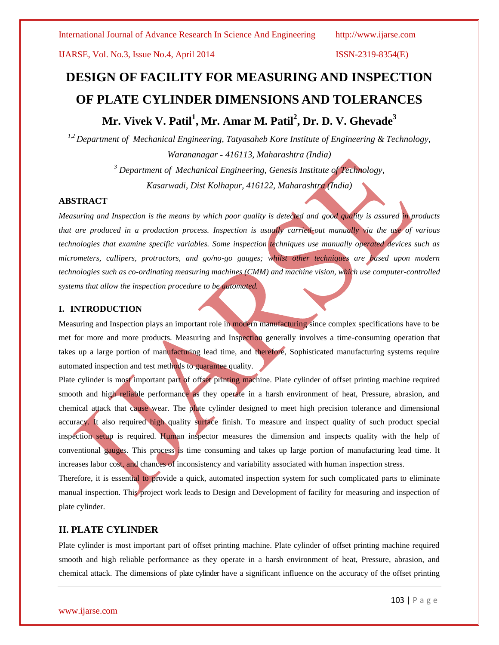IJARSE, Vol. No.3, Issue No.4, April 2014 ISSN-2319-8354(E)

# **DESIGN OF FACILITY FOR MEASURING AND INSPECTION OF PLATE CYLINDER DIMENSIONS AND TOLERANCES Mr. Vivek V. Patil<sup>1</sup> , Mr. Amar M. Patil<sup>2</sup> , Dr. D. V. Ghevade<sup>3</sup>**

*1,2 Department of Mechanical Engineering, Tatyasaheb Kore Institute of Engineering & Technology, Warananagar - 416113, Maharashtra (India)*

> *<sup>3</sup> Department of Mechanical Engineering, Genesis Institute of Technology, Kasarwadi, Dist Kolhapur, 416122, Maharashtra (India)*

### **ABSTRACT**

*Measuring and Inspection is the means by which poor quality is detected and good quality is assured in products that are produced in a production process. Inspection is usually carried-out manually via the use of various technologies that examine specific variables. Some inspection techniques use manually operated devices such as micrometers, callipers, protractors, and go/no-go gauges; whilst other techniques are based upon modern technologies such as co-ordinating measuring machines (CMM) and machine vision, which use computer-controlled systems that allow the inspection procedure to be automated.*

### **I. INTRODUCTION**

Measuring and Inspection plays an important role in modern manufacturing since complex specifications have to be met for more and more products. Measuring and Inspection generally involves a time-consuming operation that takes up a large portion of manufacturing lead time, and therefore, Sophisticated manufacturing systems require automated inspection and test methods to guarantee quality.

Plate cylinder is most important part of offset printing machine. Plate cylinder of offset printing machine required smooth and high reliable performance as they operate in a harsh environment of heat, Pressure, abrasion, and chemical attack that cause wear. The plate cylinder designed to meet high precision tolerance and dimensional accuracy. It also required high quality surface finish. To measure and inspect quality of such product special inspection setup is required. Human inspector measures the dimension and inspects quality with the help of conventional gauges. This process is time consuming and takes up large portion of manufacturing lead time. It increases labor cost, and chances of inconsistency and variability associated with human inspection stress.

Therefore, it is essential to provide a quick, automated inspection system for such complicated parts to eliminate manual inspection. This project work leads to Design and Development of facility for measuring and inspection of plate cylinder.

### **II. PLATE CYLINDER**

Plate cylinder is most important part of offset printing machine. Plate cylinder of offset printing machine required smooth and high reliable performance as they operate in a harsh environment of heat, Pressure, abrasion, and chemical attack. The dimensions of plate cylinder have a significant influence on the accuracy of the offset printing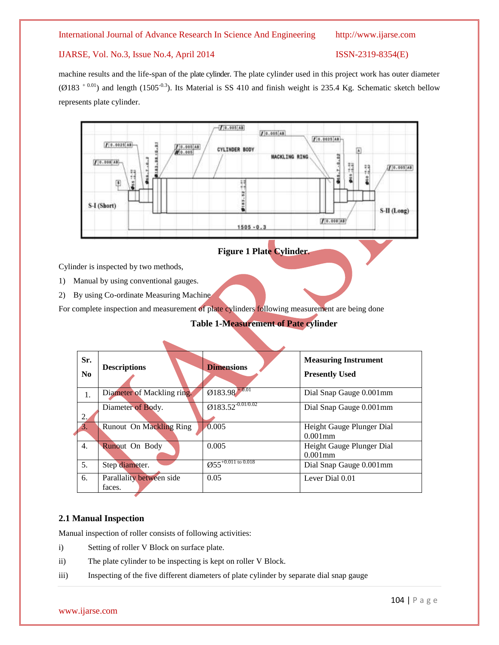#### IJARSE, Vol. No.3, Issue No.4, April 2014 ISSN-2319-8354(E)

machine results and the life-span of the plate cylinder. The plate cylinder used in this project work has outer diameter ( $\emptyset$ 183<sup>+0.01</sup>) and length (1505<sup>-0.3</sup>). Its Material is SS 410 and finish weight is 235.4 Kg. Schematic sketch bellow represents plate cylinder.



**Figure 1 Plate Cylinder***.*

Cylinder is inspected by two methods,

1) Manual by using conventional gauges.

2) By using Co-ordinate Measuring Machine

For complete inspection and measurement of plate cylinders following measurement are being done

### **Table 1-Measurement of Pate cylinder**

| Sr.<br>No        | <b>Descriptions</b>                | <b>Dimensions</b>                            | <b>Measuring Instrument</b><br><b>Presently Used</b> |
|------------------|------------------------------------|----------------------------------------------|------------------------------------------------------|
| 1.               | Diameter of Mackling ring.         | $Q183.98^{+0.01}$                            | Dial Snap Gauge 0.001mm                              |
| 2.               | Diameter of Body.                  | $Q183.52^{0.01/0.02}$                        | Dial Snap Gauge 0.001mm                              |
| 3.               | <b>Runout On Mackling Ring</b>     | 0.005                                        | Height Gauge Plunger Dial<br>$0.001$ mm              |
| $\overline{4}$ . | Runout On Body                     | 0.005                                        | Height Gauge Plunger Dial<br>$0.001$ mm              |
| 5.               | Step diameter.                     | $\overline{\mathcal{O}55}^{+0.011}$ to 0.018 | Dial Snap Gauge 0.001mm                              |
| 6.               | Parallality between side<br>faces. | 0.05                                         | Lever Dial 0.01                                      |

#### **2.1 Manual Inspection**

Manual inspection of roller consists of following activities:

- i) Setting of roller V Block on surface plate.
- ii) The plate cylinder to be inspecting is kept on roller V Block.
- iii) Inspecting of the five different diameters of plate cylinder by separate dial snap gauge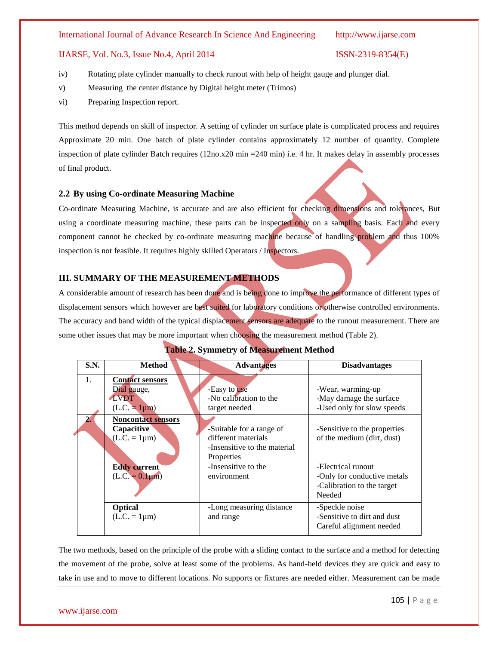#### IJARSE, Vol. No.3, Issue No.4, April 2014 ISSN-2319-8354(E)

- iv) Rotating plate cylinder manually to check runout with help of height gauge and plunger dial.
- v) Measuring the center distance by Digital height meter (Trimos)
- vi) Preparing Inspection report.

This method depends on skill of inspector. A setting of cylinder on surface plate is complicated process and requires Approximate 20 min. One batch of plate cylinder contains approximately 12 number of quantity. Complete inspection of plate cylinder Batch requires (12no.x20 min =240 min) i.e. 4 hr. It makes delay in assembly processes of final product.

#### **2.2 By using Co-ordinate Measuring Machine**

Co-ordinate Measuring Machine, is accurate and are also efficient for checking dimensions and tolerances, But using a coordinate measuring machine, these parts can be inspected only on a sampling basis. Each and every component cannot be checked by co-ordinate measuring machine because of handling problem and thus 100% inspection is not feasible. It requires highly skilled Operators / Inspectors.

### **III. SUMMARY OF THE MEASUREMENT METHODS**

A considerable amount of research has been done and is being done to improve the performance of different types of displacement sensors which however are best suited for laboratory conditions or otherwise controlled environments. The accuracy and band width of the typical displacement sensors are adequate to the runout measurement. There are some other issues that may be more important when choosing the measurement method (Table 2).

| <b>S.N.</b> | <b>Method</b>                                                                                                     | <b>Advantages</b>                                                                   | <b>Disadvantages</b>                                                                                       |  |
|-------------|-------------------------------------------------------------------------------------------------------------------|-------------------------------------------------------------------------------------|------------------------------------------------------------------------------------------------------------|--|
| 1.          | <b>Contact sensors</b><br>Dial gauge,<br><b>LVDT</b><br>$(L.C. = 1µm)$<br><b>Noncontact sensors</b><br>Capacitive | -Easy to use<br>-No calibration to the<br>target needed<br>-Suitable for a range of | -Wear, warming-up<br>-May damage the surface<br>-Used only for slow speeds<br>-Sensitive to the properties |  |
|             | $(L.C. = 1 \mu m)$                                                                                                | different materials<br>-Insensitive to the material<br>Properties                   | of the medium (dirt, dust)                                                                                 |  |
|             | <b>Eddy current</b><br>$(L.C. = 0.1 \mu m)$                                                                       | -Insensitive to the<br>environment                                                  | -Electrical runout<br>-Only for conductive metals<br>-Calibration to the target<br>Needed                  |  |
|             | <b>Optical</b><br>$(L.C. = 1 \mu m)$                                                                              | -Long measuring distance<br>and range                                               | -Speckle noise<br>-Sensitive to dirt and dust<br>Careful alignment needed                                  |  |

### **Table 2. Symmetry of Measurement Method**

The two methods, based on the principle of the probe with a sliding contact to the surface and a method for detecting the movement of the probe, solve at least some of the problems. As hand-held devices they are quick and easy to take in use and to move to different locations. No supports or fixtures are needed either. Measurement can be made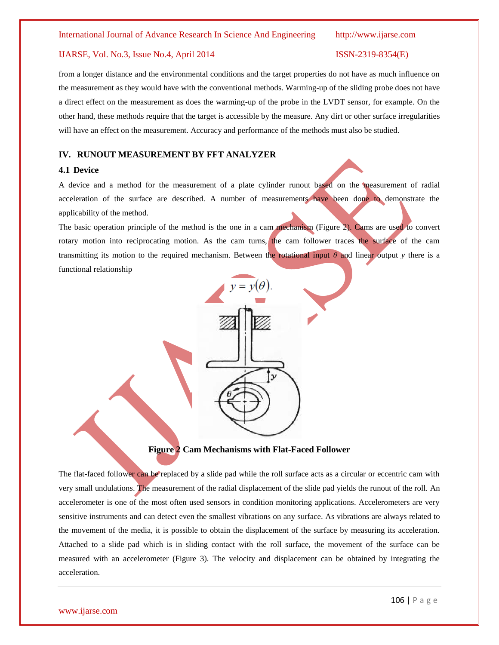#### IJARSE, Vol. No.3, Issue No.4, April 2014 ISSN-2319-8354(E)

from a longer distance and the environmental conditions and the target properties do not have as much influence on the measurement as they would have with the conventional methods. Warming-up of the sliding probe does not have a direct effect on the measurement as does the warming-up of the probe in the LVDT sensor, for example. On the other hand, these methods require that the target is accessible by the measure. Any dirt or other surface irregularities will have an effect on the measurement. Accuracy and performance of the methods must also be studied.

#### **IV. RUNOUT MEASUREMENT BY FFT ANALYZER**

#### **4.1 Device**

A device and a method for the measurement of a plate cylinder runout based on the measurement of radial acceleration of the surface are described. A number of measurements have been done to demonstrate the applicability of the method.

The basic operation principle of the method is the one in a cam mechanism (Figure 2). Cams are used to convert rotary motion into reciprocating motion. As the cam turns, the cam follower traces the surface of the cam transmitting its motion to the required mechanism. Between the rotational input *θ* and linear output *y* there is a functional relationship



**Figure 2 Cam Mechanisms with Flat-Faced Follower**

The flat-faced follower can be replaced by a slide pad while the roll surface acts as a circular or eccentric cam with very small undulations. The measurement of the radial displacement of the slide pad yields the runout of the roll. An accelerometer is one of the most often used sensors in condition monitoring applications. Accelerometers are very sensitive instruments and can detect even the smallest vibrations on any surface. As vibrations are always related to the movement of the media, it is possible to obtain the displacement of the surface by measuring its acceleration. Attached to a slide pad which is in sliding contact with the roll surface, the movement of the surface can be measured with an accelerometer (Figure 3). The velocity and displacement can be obtained by integrating the acceleration.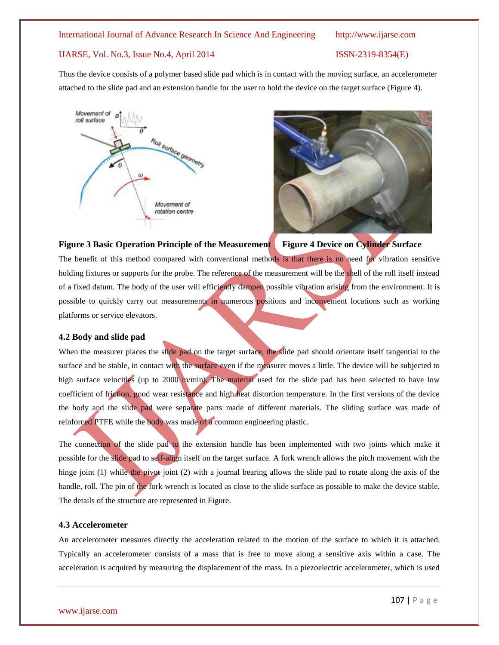#### IJARSE, Vol. No.3, Issue No.4, April 2014 ISSN-2319-8354(E)

Thus the device consists of a polymer based slide pad which is in contact with the moving surface, an accelerometer attached to the slide pad and an extension handle for the user to hold the device on the target surface (Figure 4).





### **Figure 3 Basic Operation Principle of the Measurement Figure 4 Device on Cylinder Surface**

The benefit of this method compared with conventional methods is that there is no need for vibration sensitive holding fixtures or supports for the probe. The reference of the measurement will be the shell of the roll itself instead of a fixed datum. The body of the user will efficiently dampen possible vibration arising from the environment. It is possible to quickly carry out measurements in numerous positions and inconvenient locations such as working platforms or service elevators.

#### **4.2 Body and slide pad**

When the measurer places the slide pad on the target surface, the slide pad should orientate itself tangential to the surface and be stable, in contact with the surface even if the measurer moves a little. The device will be subjected to high surface velocities (up to 2000 m/min). The material used for the slide pad has been selected to have low coefficient of friction, good wear resistance and high heat distortion temperature. In the first versions of the device the body and the slide pad were separate parts made of different materials. The sliding surface was made of reinforced PTFE while the body was made of a common engineering plastic.

The connection of the slide pad to the extension handle has been implemented with two joints which make it possible for the slide pad to self-align itself on the target surface. A fork wrench allows the pitch movement with the hinge joint (1) while the pivot joint (2) with a journal bearing allows the slide pad to rotate along the axis of the handle, roll. The pin of the fork wrench is located as close to the slide surface as possible to make the device stable. The details of the structure are represented in Figure.

#### **4.3 Accelerometer**

An accelerometer measures directly the acceleration related to the motion of the surface to which it is attached. Typically an accelerometer consists of a mass that is free to move along a sensitive axis within a case. The acceleration is acquired by measuring the displacement of the mass. In a piezoelectric accelerometer, which is used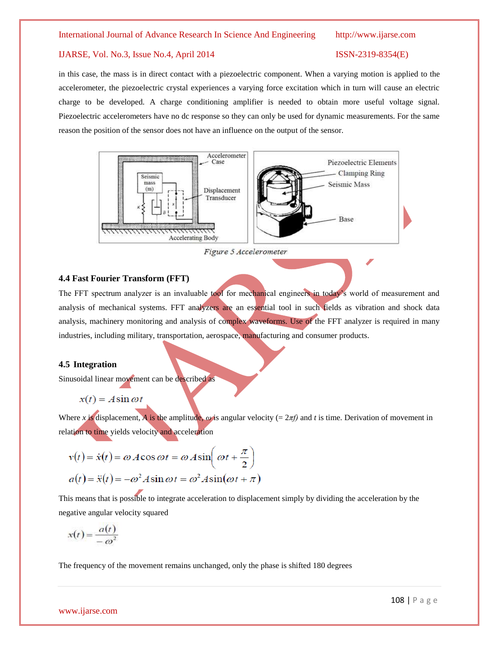### IJARSE, Vol. No.3, Issue No.4, April 2014 ISSN-2319-8354(E)

in this case, the mass is in direct contact with a piezoelectric component. When a varying motion is applied to the accelerometer, the piezoelectric crystal experiences a varying force excitation which in turn will cause an electric charge to be developed. A charge conditioning amplifier is needed to obtain more useful voltage signal. Piezoelectric accelerometers have no dc response so they can only be used for dynamic measurements. For the same reason the position of the sensor does not have an influence on the output of the sensor.



Figure 5 Accelerometer

#### **4.4 Fast Fourier Transform (FFT)**

The FFT spectrum analyzer is an invaluable tool for mechanical engineers in today's world of measurement and analysis of mechanical systems. FFT analyzers are an essential tool in such fields as vibration and shock data analysis, machinery monitoring and analysis of complex waveforms. Use of the FFT analyzer is required in many industries, including military, transportation, aerospace, manufacturing and consumer products.

#### **4.5 Integration**

Sinusoidal linear movement can be described as

$$
x(t) = A\sin\omega t
$$

Where *x* is displacement, *A* is the amplitude,  $\omega$  is angular velocity (=  $2\pi f$ ) and *t* is time. Derivation of movement in relation to time yields velocity and acceleration

$$
v(t) = \dot{x}(t) = \omega A \cos \omega t = \omega A \sin \left(\omega t + \frac{\pi}{2}\right)
$$

$$
a(t) = \ddot{x}(t) = -\omega^2 A \sin \omega t = \omega^2 A \sin(\omega t + \pi)
$$

This means that is possible to integrate acceleration to displacement simply by dividing the acceleration by the negative angular velocity squared

$$
x(t) = \frac{a(t)}{-\omega^2}
$$

The frequency of the movement remains unchanged, only the phase is shifted 180 degrees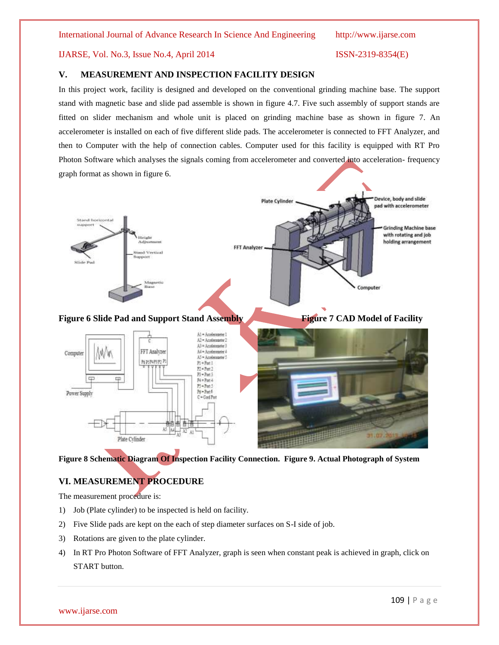### IJARSE, Vol. No.3, Issue No.4, April 2014 ISSN-2319-8354(E)

### **V. MEASUREMENT AND INSPECTION FACILITY DESIGN**

In this project work, facility is designed and developed on the conventional grinding machine base. The support stand with magnetic base and slide pad assemble is shown in figure 4.7. Five such assembly of support stands are fitted on slider mechanism and whole unit is placed on grinding machine base as shown in figure 7. An accelerometer is installed on each of five different slide pads. The accelerometer is connected to FFT Analyzer, and then to Computer with the help of connection cables. Computer used for this facility is equipped with RT Pro Photon Software which analyses the signals coming from accelerometer and converted into acceleration- frequency graph format as shown in figure 6.



#### **Figure 8 Schematic Diagram Of Inspection Facility Connection. Figure 9. Actual Photograph of System**

### **VI. MEASUREMENT PROCEDURE**

The measurement procedure is:

- 1) Job (Plate cylinder) to be inspected is held on facility.
- 2) Five Slide pads are kept on the each of step diameter surfaces on S-I side of job.
- 3) Rotations are given to the plate cylinder.
- 4) In RT Pro Photon Software of FFT Analyzer, graph is seen when constant peak is achieved in graph, click on START button.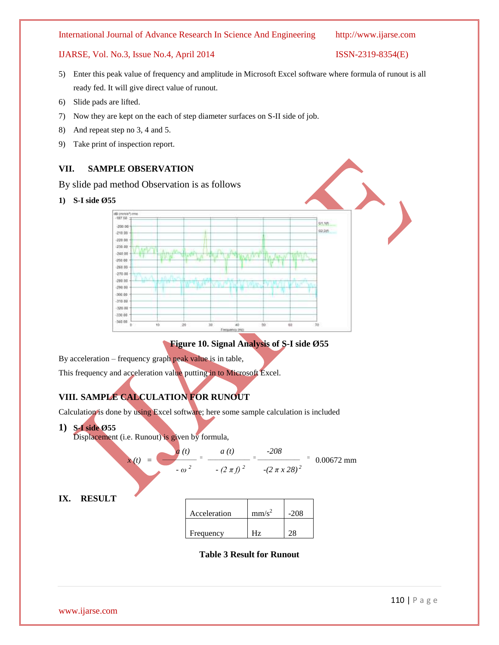### IJARSE, Vol. No.3, Issue No.4, April 2014 ISSN-2319-8354(E)

- 5) Enter this peak value of frequency and amplitude in Microsoft Excel software where formula of runout is all ready fed. It will give direct value of runout.
- 6) Slide pads are lifted.
- 7) Now they are kept on the each of step diameter surfaces on S-II side of job.
- 8) And repeat step no 3, 4 and 5.
- 9) Take print of inspection report.

### **VII. SAMPLE OBSERVATION**

By slide pad method Observation is as follows

**1) S-I side Ø55**



**Figure 10. Signal Analysis of S-I side Ø55**

By acceleration – frequency graph peak value is in table,

This frequency and acceleration value putting in to Microsoft Excel.

## **VIII. SAMPLE CALCULATION FOR RUNOUT**

Calculation is done by using Excel software; here some sample calculation is included

**1) S-I side Ø55**

Displacement (i.e. Runout) is given by formula,



**Table 3 Result for Runout**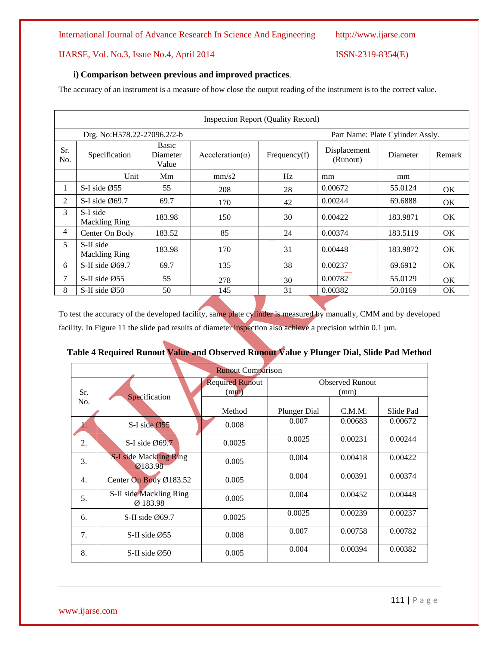IJARSE, Vol. No.3, Issue No.4, April 2014 ISSN-2319-8354(E)

### **i) Comparison between previous and improved practices**.

The accuracy of an instrument is a measure of how close the output reading of the instrument is to the correct value.

|                             | Inspection Report (Quality Record) |                            |                                  |              |                          |          |           |
|-----------------------------|------------------------------------|----------------------------|----------------------------------|--------------|--------------------------|----------|-----------|
| Drg. No:H578.22-27096.2/2-b |                                    |                            | Part Name: Plate Cylinder Assly. |              |                          |          |           |
| Sr.<br>No.                  | Specification                      | Basic<br>Diameter<br>Value | $Acceleration(\alpha)$           | Frequency(f) | Displacement<br>(Runout) | Diameter | Remark    |
|                             | Unit                               | Mm                         | mm/s2                            | Hz           | mm                       | mm       |           |
| л.                          | S-I side $\varnothing$ 55          | 55                         | 208                              | 28           | 0.00672                  | 55.0124  | OK.       |
| 2                           | S-I side $\emptyset$ 69.7          | 69.7                       | 170                              | 42           | 0.00244                  | 69.6888  | OK.       |
| 3                           | S-I side<br><b>Mackling Ring</b>   | 183.98                     | 150                              | 30           | 0.00422                  | 183.9871 | OK.       |
| 4                           | Center On Body                     | 183.52                     | 85                               | 24           | 0.00374                  | 183.5119 | OK.       |
| 5                           | S-II side<br><b>Mackling Ring</b>  | 183.98                     | 170                              | 31           | 0.00448                  | 183.9872 | OK.       |
| 6                           | S-II side $\emptyset$ 69.7         | 69.7                       | 135                              | 38           | 0.00237                  | 69.6912  | OK.       |
| 7                           | S-II side $\emptyset$ 55           | 55                         | 278                              | 30           | 0.00782                  | 55.0129  | OK.       |
| 8                           | S-II side $\emptyset$ 50           | 50                         | 145                              | 31           | 0.00382                  | 50.0169  | <b>OK</b> |

To test the accuracy of the developed facility, same plate cylinder is measured by manually, CMM and by developed facility. In Figure 11 the slide pad results of diameter inspection also achieve a precision within 0.1 µm.

# **Table 4 Required Runout Value and Observed Runout Value y Plunger Dial, Slide Pad Method**

| <b>Runout Comparison</b> |                                          |                                |                                |         |           |
|--------------------------|------------------------------------------|--------------------------------|--------------------------------|---------|-----------|
| Sr.                      | Specification                            | <b>Required Runout</b><br>(mm) | <b>Observed Runout</b><br>(mm) |         |           |
| No.                      |                                          | Method                         | <b>Plunger Dial</b>            | C.M.M.  | Slide Pad |
|                          | S-I side $\emptyset$ 55                  | 0.008                          | 0.007                          | 0.00683 | 0.00672   |
| 2.                       | S-I side $\emptyset$ 69.7                | 0.0025                         | 0.0025                         | 0.00231 | 0.00244   |
| 3.                       | <b>S-I side Mackling Ring</b><br>Ø183.98 | 0.005                          | 0.004                          | 0.00418 | 0.00422   |
| 4.                       | Center On Body Ø183.52                   | 0.005                          | 0.004                          | 0.00391 | 0.00374   |
| 5.                       | S-II side Mackling Ring<br>Ø 183.98      | 0.005                          | 0.004                          | 0.00452 | 0.00448   |
| 6.                       | S-II side $\emptyset$ 69.7               | 0.0025                         | 0.0025                         | 0.00239 | 0.00237   |
| 7.                       | S-II side $\emptyset$ 55                 | 0.008                          | 0.007                          | 0.00758 | 0.00782   |
| 8.                       | S-II side Ø50                            | 0.005                          | 0.004                          | 0.00394 | 0.00382   |